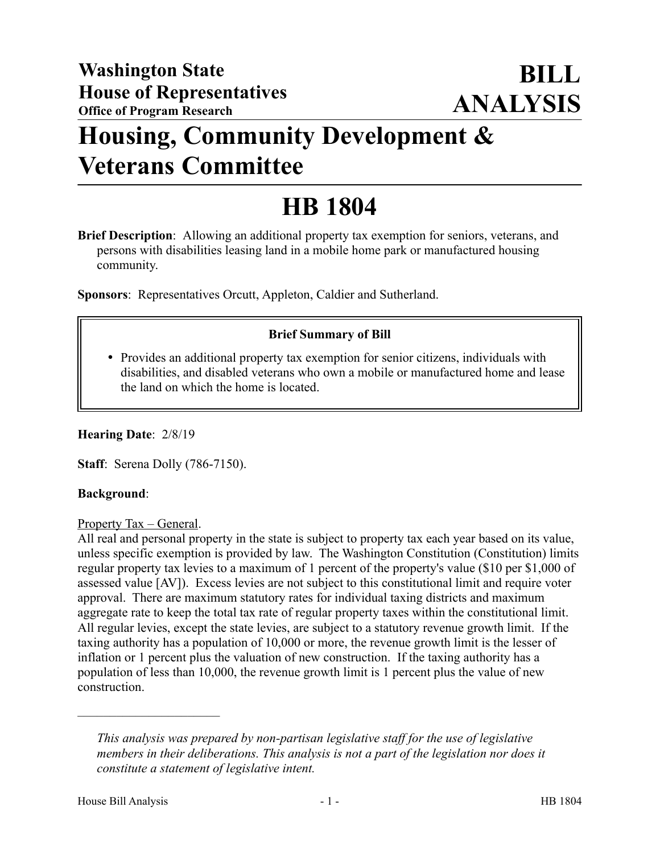# **Housing, Community Development & Veterans Committee**

# **HB 1804**

**Brief Description**: Allowing an additional property tax exemption for seniors, veterans, and persons with disabilities leasing land in a mobile home park or manufactured housing community.

**Sponsors**: Representatives Orcutt, Appleton, Caldier and Sutherland.

# **Brief Summary of Bill**

 Provides an additional property tax exemption for senior citizens, individuals with disabilities, and disabled veterans who own a mobile or manufactured home and lease the land on which the home is located.

**Hearing Date**: 2/8/19

**Staff**: Serena Dolly (786-7150).

#### **Background**:

#### Property Tax – General.

All real and personal property in the state is subject to property tax each year based on its value, unless specific exemption is provided by law. The Washington Constitution (Constitution) limits regular property tax levies to a maximum of 1 percent of the property's value (\$10 per \$1,000 of assessed value [AV]). Excess levies are not subject to this constitutional limit and require voter approval. There are maximum statutory rates for individual taxing districts and maximum aggregate rate to keep the total tax rate of regular property taxes within the constitutional limit. All regular levies, except the state levies, are subject to a statutory revenue growth limit. If the taxing authority has a population of 10,000 or more, the revenue growth limit is the lesser of inflation or 1 percent plus the valuation of new construction. If the taxing authority has a population of less than 10,000, the revenue growth limit is 1 percent plus the value of new construction.

––––––––––––––––––––––

*This analysis was prepared by non-partisan legislative staff for the use of legislative members in their deliberations. This analysis is not a part of the legislation nor does it constitute a statement of legislative intent.*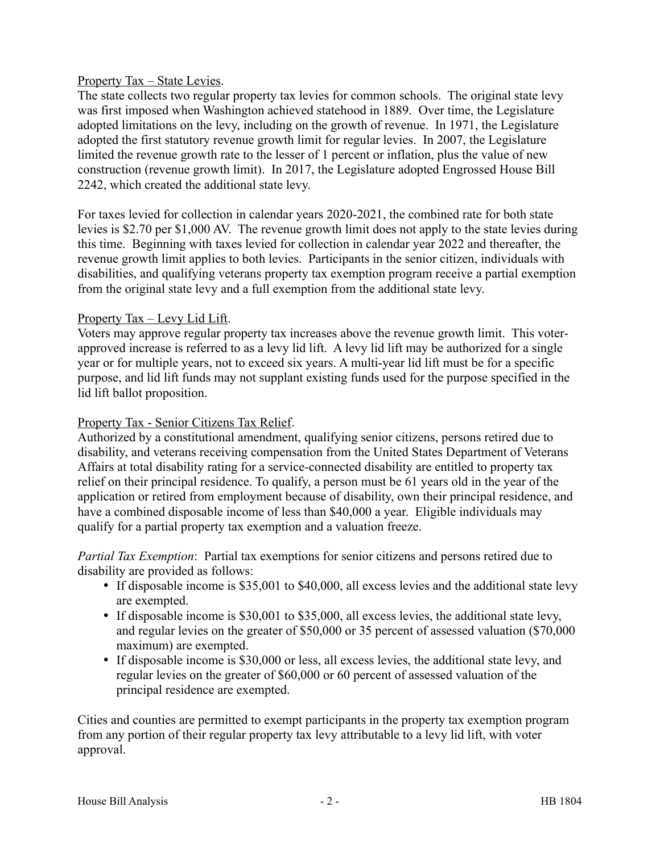#### Property Tax – State Levies.

The state collects two regular property tax levies for common schools. The original state levy was first imposed when Washington achieved statehood in 1889. Over time, the Legislature adopted limitations on the levy, including on the growth of revenue. In 1971, the Legislature adopted the first statutory revenue growth limit for regular levies. In 2007, the Legislature limited the revenue growth rate to the lesser of 1 percent or inflation, plus the value of new construction (revenue growth limit). In 2017, the Legislature adopted Engrossed House Bill 2242, which created the additional state levy.

For taxes levied for collection in calendar years 2020-2021, the combined rate for both state levies is \$2.70 per \$1,000 AV. The revenue growth limit does not apply to the state levies during this time. Beginning with taxes levied for collection in calendar year 2022 and thereafter, the revenue growth limit applies to both levies. Participants in the senior citizen, individuals with disabilities, and qualifying veterans property tax exemption program receive a partial exemption from the original state levy and a full exemption from the additional state levy.

## Property Tax – Levy Lid Lift.

Voters may approve regular property tax increases above the revenue growth limit. This voterapproved increase is referred to as a levy lid lift. A levy lid lift may be authorized for a single year or for multiple years, not to exceed six years. A multi-year lid lift must be for a specific purpose, and lid lift funds may not supplant existing funds used for the purpose specified in the lid lift ballot proposition.

#### Property Tax - Senior Citizens Tax Relief.

Authorized by a constitutional amendment, qualifying senior citizens, persons retired due to disability, and veterans receiving compensation from the United States Department of Veterans Affairs at total disability rating for a service-connected disability are entitled to property tax relief on their principal residence. To qualify, a person must be 61 years old in the year of the application or retired from employment because of disability, own their principal residence, and have a combined disposable income of less than \$40,000 a year. Eligible individuals may qualify for a partial property tax exemption and a valuation freeze.

*Partial Tax Exemption*: Partial tax exemptions for senior citizens and persons retired due to disability are provided as follows:

- If disposable income is \$35,001 to \$40,000, all excess levies and the additional state levy are exempted.
- If disposable income is \$30,001 to \$35,000, all excess levies, the additional state levy, and regular levies on the greater of \$50,000 or 35 percent of assessed valuation (\$70,000 maximum) are exempted.
- If disposable income is \$30,000 or less, all excess levies, the additional state levy, and regular levies on the greater of \$60,000 or 60 percent of assessed valuation of the principal residence are exempted.

Cities and counties are permitted to exempt participants in the property tax exemption program from any portion of their regular property tax levy attributable to a levy lid lift, with voter approval.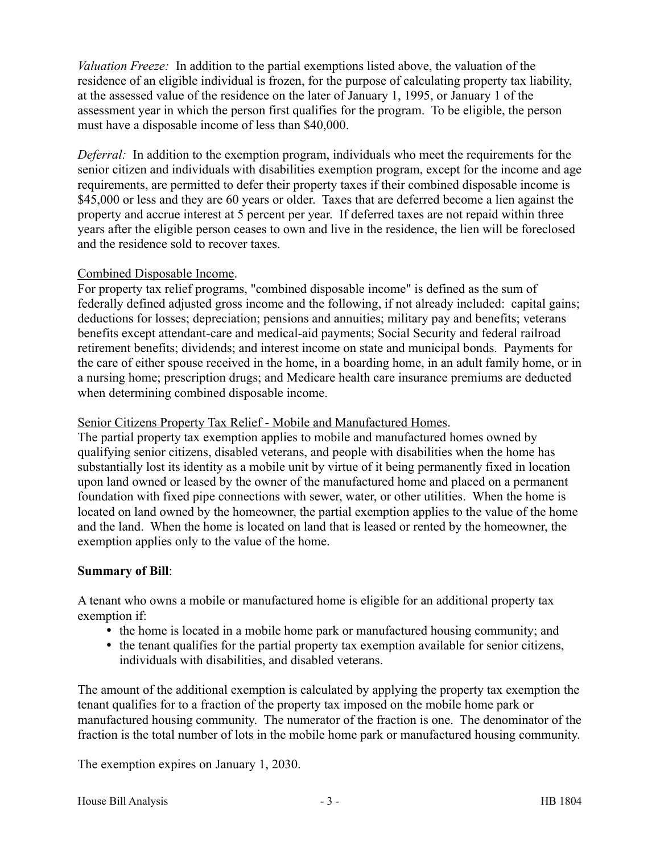*Valuation Freeze:* In addition to the partial exemptions listed above, the valuation of the residence of an eligible individual is frozen, for the purpose of calculating property tax liability, at the assessed value of the residence on the later of January 1, 1995, or January 1 of the assessment year in which the person first qualifies for the program. To be eligible, the person must have a disposable income of less than \$40,000.

*Deferral:* In addition to the exemption program, individuals who meet the requirements for the senior citizen and individuals with disabilities exemption program, except for the income and age requirements, are permitted to defer their property taxes if their combined disposable income is \$45,000 or less and they are 60 years or older. Taxes that are deferred become a lien against the property and accrue interest at 5 percent per year. If deferred taxes are not repaid within three years after the eligible person ceases to own and live in the residence, the lien will be foreclosed and the residence sold to recover taxes.

#### Combined Disposable Income.

For property tax relief programs, "combined disposable income" is defined as the sum of federally defined adjusted gross income and the following, if not already included: capital gains; deductions for losses; depreciation; pensions and annuities; military pay and benefits; veterans benefits except attendant-care and medical-aid payments; Social Security and federal railroad retirement benefits; dividends; and interest income on state and municipal bonds. Payments for the care of either spouse received in the home, in a boarding home, in an adult family home, or in a nursing home; prescription drugs; and Medicare health care insurance premiums are deducted when determining combined disposable income.

#### Senior Citizens Property Tax Relief - Mobile and Manufactured Homes.

The partial property tax exemption applies to mobile and manufactured homes owned by qualifying senior citizens, disabled veterans, and people with disabilities when the home has substantially lost its identity as a mobile unit by virtue of it being permanently fixed in location upon land owned or leased by the owner of the manufactured home and placed on a permanent foundation with fixed pipe connections with sewer, water, or other utilities. When the home is located on land owned by the homeowner, the partial exemption applies to the value of the home and the land. When the home is located on land that is leased or rented by the homeowner, the exemption applies only to the value of the home.

## **Summary of Bill**:

A tenant who owns a mobile or manufactured home is eligible for an additional property tax exemption if:

- the home is located in a mobile home park or manufactured housing community; and
- the tenant qualifies for the partial property tax exemption available for senior citizens, individuals with disabilities, and disabled veterans.

The amount of the additional exemption is calculated by applying the property tax exemption the tenant qualifies for to a fraction of the property tax imposed on the mobile home park or manufactured housing community. The numerator of the fraction is one. The denominator of the fraction is the total number of lots in the mobile home park or manufactured housing community.

The exemption expires on January 1, 2030.